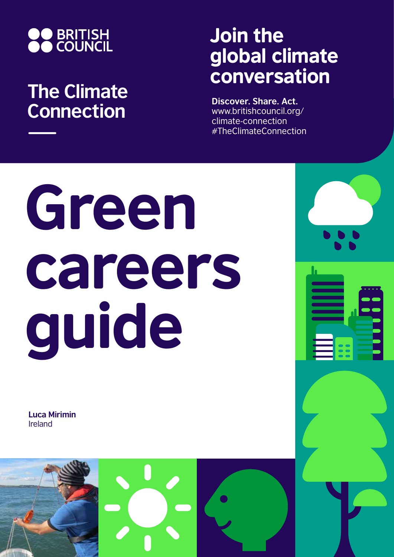

## **The Climate Connection**

## Join the global climate conversation

**Discover. Share. Act.** www.britishcouncil.org/ climate-connection #TheClimateConnection

# Green careers guide

**Luca Mirimin** Ireland

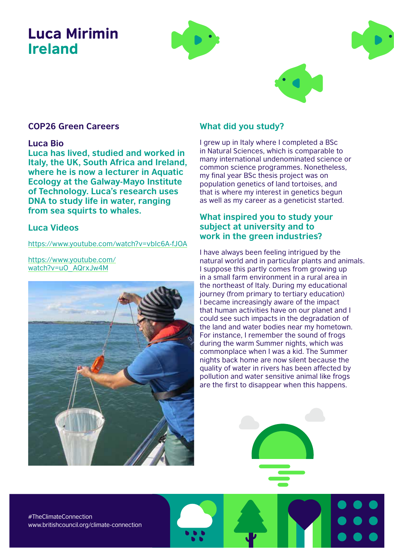### Luca Mirimin Ireland





#### **COP26 Green Careers**

#### **Luca Bio**

**Luca has lived, studied and worked in Italy, the UK, South Africa and Ireland, where he is now a lecturer in Aquatic Ecology at the Galway-Mayo Institute of Technology. Luca's research uses DNA to study life in water, ranging from sea squirts to whales.**

#### **Luca Videos**

https://www.youtube.com/watch?v=vbIc6A-fJOA

https://www.youtube.com/ watch?v=uO\_AQrxJw4M



#### **What did you study?**

I grew up in Italy where I completed a BSc in Natural Sciences, which is comparable to many international undenominated science or common science programmes. Nonetheless, my final year BSc thesis project was on population genetics of land tortoises, and that is where my interest in genetics begun as well as my career as a geneticist started.

#### **What inspired you to study your subject at university and to work in the green industries?**

I have always been feeling intrigued by the natural world and in particular plants and animals. I suppose this partly comes from growing up in a small farm environment in a rural area in the northeast of Italy. During my educational journey (from primary to tertiary education) I became increasingly aware of the impact that human activities have on our planet and I could see such impacts in the degradation of the land and water bodies near my hometown. For instance, I remember the sound of frogs during the warm Summer nights, which was commonplace when I was a kid. The Summer nights back home are now silent because the quality of water in rivers has been affected by pollution and water sensitive animal like frogs are the first to disappear when this happens.

#TheClimateConnection www.britishcouncil.org/climate-connection